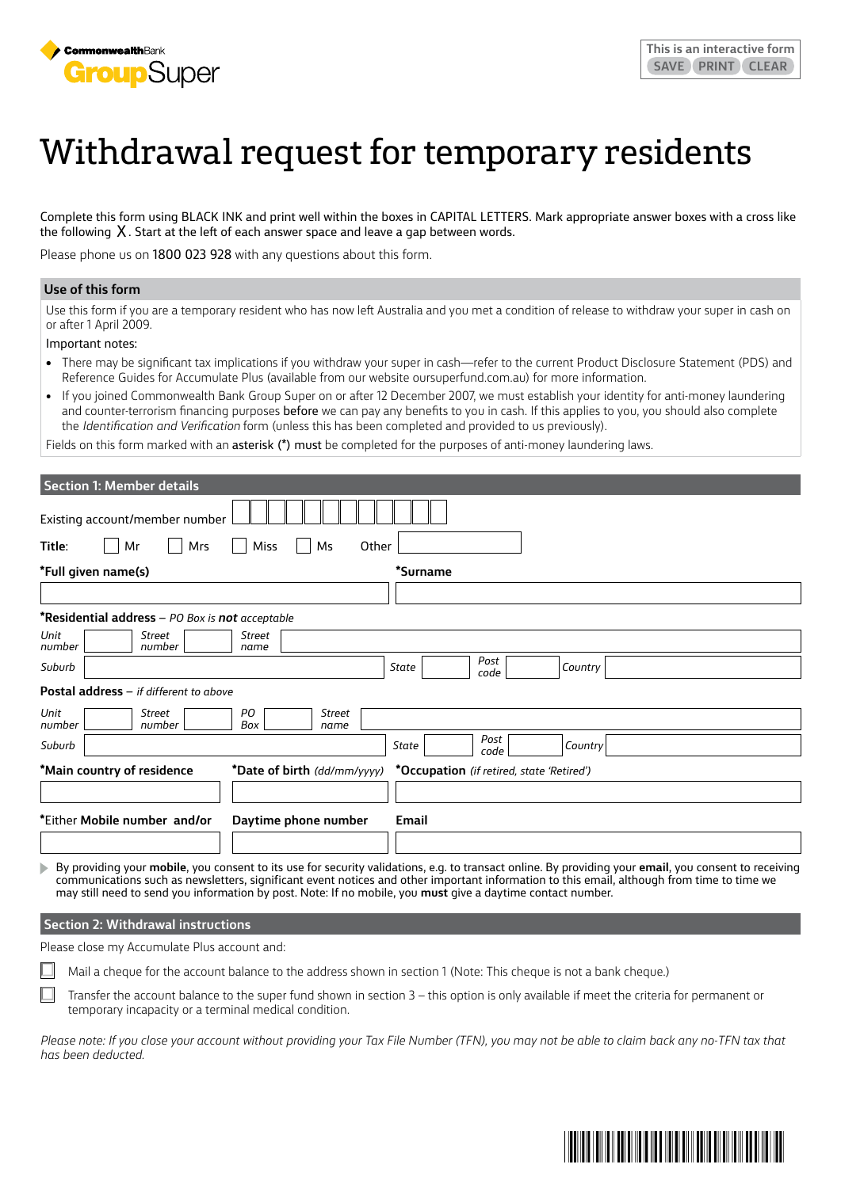

# Withdrawal request for temporary residents

Complete this form using BLACK INK and print well within the boxes in CAPITAL LETTERS. Mark appropriate answer boxes with a cross like the following  $X$ . Start at the left of each answer space and leave a gap between words.

Please phone us on 1800 023 928 with any questions about this form.

#### **Use of this form**

Use this form if you are a temporary resident who has now left Australia and you met a condition of release to withdraw your super in cash on or after 1 April 2009.

Important notes:

- There may be significant tax implications if you withdraw your super in cash—refer to the current Product Disclosure Statement (PDS) and Reference Guides for Accumulate Plus (available from our website [oursuperfund.com.au](http://oursuperfund.com.au)) for more information.
- If you joined Commonwealth Bank Group Super on or after 12 December 2007, we must establish your identity for anti-money laundering and counter-terrorism financing purposes before we can pay any benefits to you in cash. If this applies to you, you should also complete the *Identification and Verification* form (unless this has been completed and provided to us previously).

Fields on this form marked with an asterisk (\*) must be completed for the purposes of anti-money laundering laws.

| <b>Section 1: Member details</b>                                         |                                           |
|--------------------------------------------------------------------------|-------------------------------------------|
| Existing account/member number                                           |                                           |
| Title:<br>Other<br><b>Miss</b><br>Mr<br>Mrs<br>Ms                        |                                           |
| *Full given name(s)                                                      | *Surname                                  |
|                                                                          |                                           |
| *Residential address - PO Box is not acceptable                          |                                           |
| Unit<br>Street<br><b>Street</b><br>number<br>number<br>name              |                                           |
| Suburb                                                                   | Post<br>Country<br>State<br>code          |
| Postal address - if different to above                                   |                                           |
| Unit<br>PO<br>Street<br><b>Street</b><br>number<br>number<br>Box<br>name |                                           |
| Suburb                                                                   | Post<br>State<br><b>Country</b><br>code   |
| *Main country of residence<br>*Date of birth (dd/mm/yyyy)                | *Occupation (if retired, state 'Retired') |
|                                                                          |                                           |
| *Either Mobile number and/or<br>Daytime phone number                     | Email                                     |
|                                                                          |                                           |

By providing your **mobile**, you consent to its use for security validations, e.g. to transact online. By providing your **email**, you consent to receiving communications such as newsletters, significant event notices and other important information to this email, although from time to time we may still need to send you information by post. Note: If no mobile, you **must** give a daytime contact number.

### **Section 2: Withdrawal instructions**

Please close my Accumulate Plus account and:

Mail a cheque for the account balance to the address shown in section 1 (Note: This cheque is not a bank cheque.)

Transfer the account balance to the super fund shown in section 3 – this option is only available if meet the criteria for permanent or temporary incapacity or a terminal medical condition.

*Please note: If you close your account without providing your Tax File Number (TFN), you may not be able to claim back any no-TFN tax that has been deducted.*

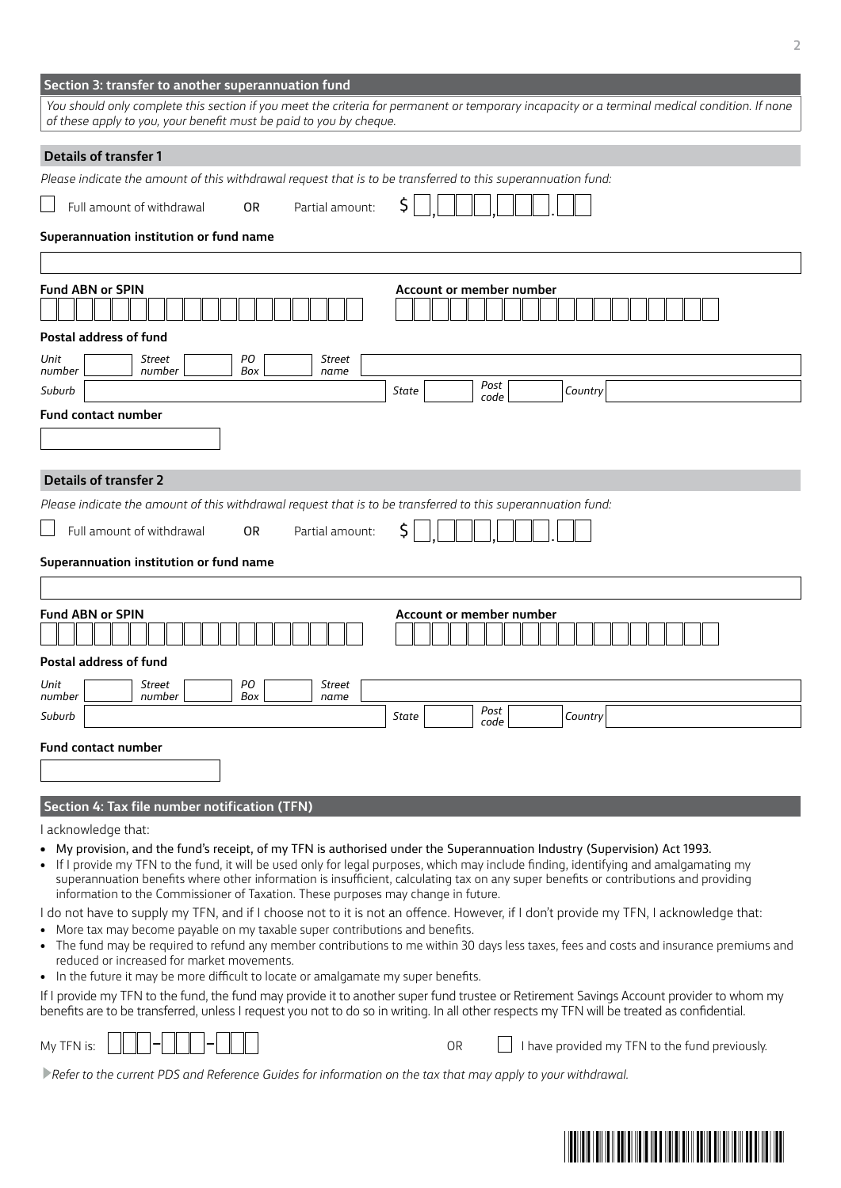| You should only complete this section if you meet the criteria for permanent or temporary incapacity or a terminal medical condition. If none                                                                                                                                                                                                                                                                                                                                                     |
|---------------------------------------------------------------------------------------------------------------------------------------------------------------------------------------------------------------------------------------------------------------------------------------------------------------------------------------------------------------------------------------------------------------------------------------------------------------------------------------------------|
| of these apply to you, your benefit must be paid to you by cheque.                                                                                                                                                                                                                                                                                                                                                                                                                                |
| <b>Details of transfer 1</b>                                                                                                                                                                                                                                                                                                                                                                                                                                                                      |
| Please indicate the amount of this withdrawal request that is to be transferred to this superannuation fund:                                                                                                                                                                                                                                                                                                                                                                                      |
| \$<br>Full amount of withdrawal<br>Partial amount:<br>0R                                                                                                                                                                                                                                                                                                                                                                                                                                          |
| Superannuation institution or fund name                                                                                                                                                                                                                                                                                                                                                                                                                                                           |
|                                                                                                                                                                                                                                                                                                                                                                                                                                                                                                   |
| <b>Fund ABN or SPIN</b><br>Account or member number<br>Postal address of fund                                                                                                                                                                                                                                                                                                                                                                                                                     |
| PO<br>Unit<br>Street<br>Street                                                                                                                                                                                                                                                                                                                                                                                                                                                                    |
| Box<br>number<br>number<br>name<br>Post                                                                                                                                                                                                                                                                                                                                                                                                                                                           |
| Suburb<br>Country<br>State<br>code                                                                                                                                                                                                                                                                                                                                                                                                                                                                |
| Fund contact number                                                                                                                                                                                                                                                                                                                                                                                                                                                                               |
| <b>Details of transfer 2</b>                                                                                                                                                                                                                                                                                                                                                                                                                                                                      |
| Please indicate the amount of this withdrawal request that is to be transferred to this superannuation fund:                                                                                                                                                                                                                                                                                                                                                                                      |
| Full amount of withdrawal<br>0R<br>Partial amount:                                                                                                                                                                                                                                                                                                                                                                                                                                                |
| Superannuation institution or fund name                                                                                                                                                                                                                                                                                                                                                                                                                                                           |
|                                                                                                                                                                                                                                                                                                                                                                                                                                                                                                   |
| <b>Fund ABN or SPIN</b><br>Account or member number                                                                                                                                                                                                                                                                                                                                                                                                                                               |
| <b>Postal address of fund</b><br>PO<br>Street<br>Street<br>Unit                                                                                                                                                                                                                                                                                                                                                                                                                                   |
| Box<br>number<br>number<br>name<br>Post                                                                                                                                                                                                                                                                                                                                                                                                                                                           |
|                                                                                                                                                                                                                                                                                                                                                                                                                                                                                                   |
| Suburb<br>Country<br>State<br>code                                                                                                                                                                                                                                                                                                                                                                                                                                                                |
| <b>Fund contact number</b>                                                                                                                                                                                                                                                                                                                                                                                                                                                                        |
|                                                                                                                                                                                                                                                                                                                                                                                                                                                                                                   |
|                                                                                                                                                                                                                                                                                                                                                                                                                                                                                                   |
| Section 4: Tax file number notification (TFN)<br>I acknowledge that:                                                                                                                                                                                                                                                                                                                                                                                                                              |
| • My provision, and the fund's receipt, of my TFN is authorised under the Superannuation Industry (Supervision) Act 1993.<br>• If I provide my TFN to the fund, it will be used only for legal purposes, which may include finding, identifying and amalgamating my<br>superannuation benefits where other information is insufficient, calculating tax on any super benefits or contributions and providing<br>information to the Commissioner of Taxation. These purposes may change in future. |
| I do not have to supply my TFN, and if I choose not to it is not an offence. However, if I don't provide my TFN, I acknowledge that:<br>• More tax may become payable on my taxable super contributions and benefits.<br>• The fund may be required to refund any member contributions to me within 30 days less taxes, fees and costs and insurance premiums and                                                                                                                                 |
| reduced or increased for market movements.                                                                                                                                                                                                                                                                                                                                                                                                                                                        |
| • In the future it may be more difficult to locate or amalgamate my super benefits.<br>If I provide my TFN to the fund, the fund may provide it to another super fund trustee or Retirement Savings Account provider to whom my<br>benefits are to be transferred, unless I request you not to do so in writing. In all other respects my TFN will be treated as confidential.                                                                                                                    |
| I have provided my TFN to the fund previously.<br>My TFN is:<br>0R                                                                                                                                                                                                                                                                                                                                                                                                                                |
| Refer to the current PDS and Reference Guides for information on the tax that may apply to your withdrawal.                                                                                                                                                                                                                                                                                                                                                                                       |